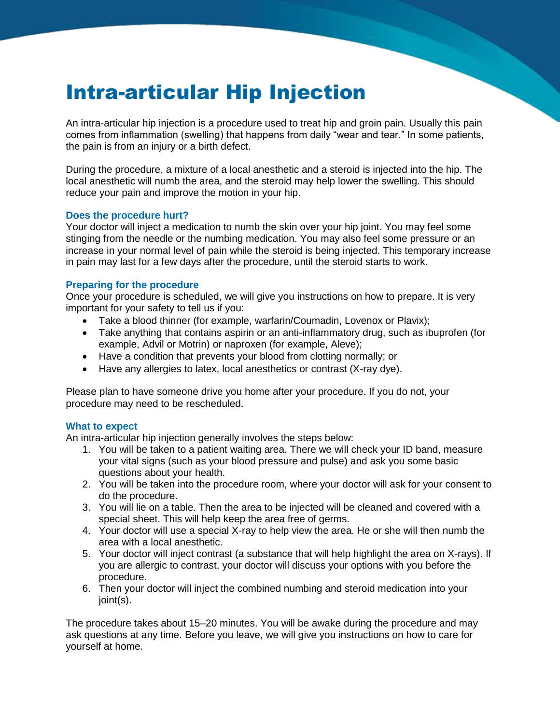# Intra-articular Hip Injection

An intra-articular hip injection is a procedure used to treat hip and groin pain. Usually this pain comes from inflammation (swelling) that happens from daily "wear and tear." In some patients, the pain is from an injury or a birth defect.

During the procedure, a mixture of a local anesthetic and a steroid is injected into the hip. The local anesthetic will numb the area, and the steroid may help lower the swelling. This should reduce your pain and improve the motion in your hip.

#### **Does the procedure hurt?**

Your doctor will inject a medication to numb the skin over your hip joint. You may feel some stinging from the needle or the numbing medication. You may also feel some pressure or an increase in your normal level of pain while the steroid is being injected. This temporary increase in pain may last for a few days after the procedure, until the steroid starts to work.

#### **Preparing for the procedure**

Once your procedure is scheduled, we will give you instructions on how to prepare. It is very important for your safety to tell us if you:

- Take a blood thinner (for example, warfarin/Coumadin, Lovenox or Plavix);
- Take anything that contains aspirin or an anti-inflammatory drug, such as ibuprofen (for example, Advil or Motrin) or naproxen (for example, Aleve);
- Have a condition that prevents your blood from clotting normally; or
- $\bullet$  Have any allergies to latex, local anesthetics or contrast (X-ray dye).

Please plan to have someone drive you home after your procedure. If you do not, your procedure may need to be rescheduled.

#### **What to expect**

An intra-articular hip injection generally involves the steps below:

- 1. You will be taken to a patient waiting area. There we will check your ID band, measure your vital signs (such as your blood pressure and pulse) and ask you some basic questions about your health.
- 2. You will be taken into the procedure room, where your doctor will ask for your consent to do the procedure.
- 3. You will lie on a table. Then the area to be injected will be cleaned and covered with a special sheet. This will help keep the area free of germs.
- 4. Your doctor will use a special X-ray to help view the area. He or she will then numb the area with a local anesthetic.
- 5. Your doctor will inject contrast (a substance that will help highlight the area on X-rays). If you are allergic to contrast, your doctor will discuss your options with you before the procedure.
- 6. Then your doctor will inject the combined numbing and steroid medication into your joint(s).

The procedure takes about 15–20 minutes. You will be awake during the procedure and may ask questions at any time. Before you leave, we will give you instructions on how to care for yourself at home.